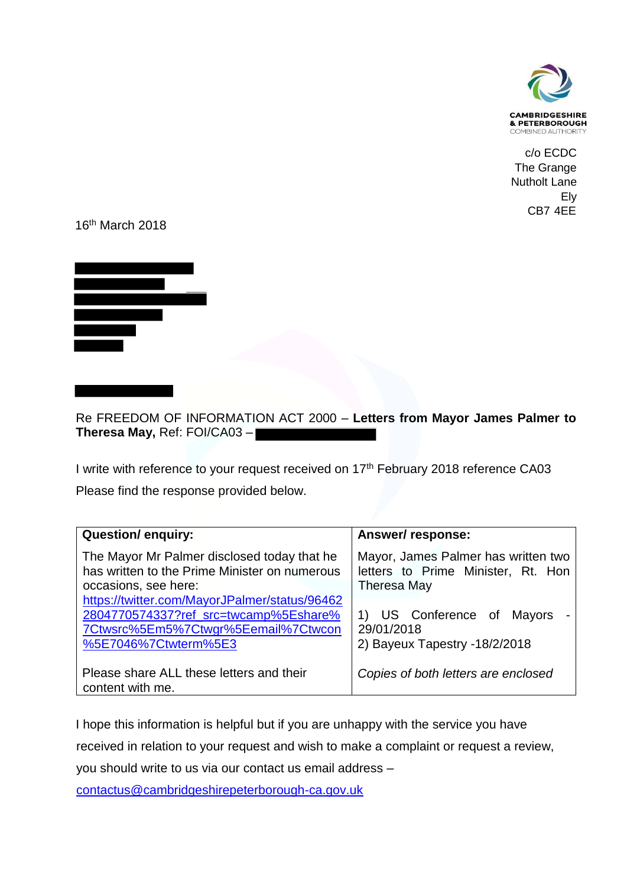

c/o ECDC The Grange Nutholt Lane Ely CB7 4EE

16th March 2018



Re FREEDOM OF INFORMATION ACT 2000 – **Letters from Mayor James Palmer to Theresa May,** Ref: FOI/CA03 –

I write with reference to your request received on 17<sup>th</sup> February 2018 reference CA03

Please find the response provided below.

| <b>Question/enquiry:</b>                                                                                                                              | Answer/response:                                                                         |
|-------------------------------------------------------------------------------------------------------------------------------------------------------|------------------------------------------------------------------------------------------|
| The Mayor Mr Palmer disclosed today that he<br>has written to the Prime Minister on numerous<br>occasions, see here:                                  | Mayor, James Palmer has written two<br>letters to Prime Minister, Rt. Hon<br>Theresa May |
| https://twitter.com/MayorJPalmer/status/96462<br>2804770574337?ref_src=twcamp%5Eshare%<br>7Ctwsrc%5Em5%7Ctwgr%5Eemail%7Ctwcon<br>%5E7046%7Ctwterm%5E3 | 1) US Conference of Mayors<br>29/01/2018<br>2) Bayeux Tapestry -18/2/2018                |
| Please share ALL these letters and their<br>content with me.                                                                                          | Copies of both letters are enclosed                                                      |

I hope this information is helpful but if you are unhappy with the service you have

received in relation to your request and wish to make a complaint or request a review,

you should write to us via our contact us email address –

[contactus@cambridgeshirepeterborough-ca.gov.uk](mailto:contactus@cambridgeshirepeterborough-ca.gov.uk)